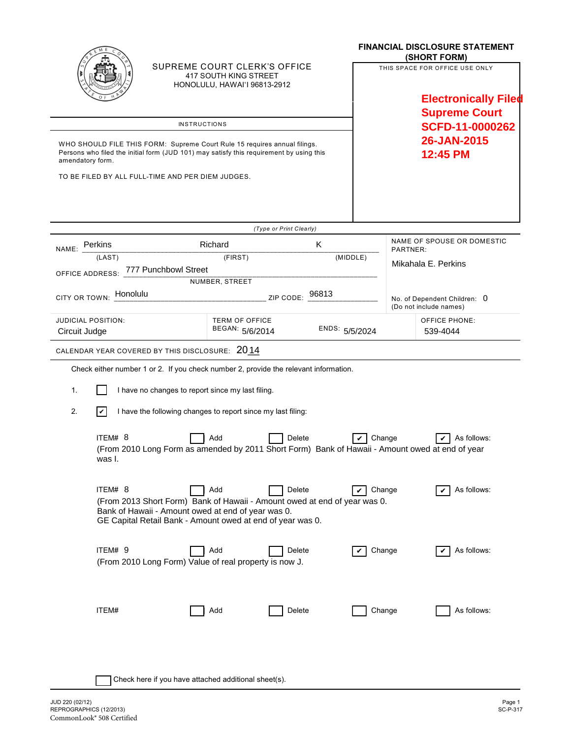|                                                                                                                                                                                                                 |                                                                                                                                                                                                      |                         |                | <b>FINANCIAL DISCLOSURE STATEMENT</b><br>(SHORT FORM)                                 |                                  |  |
|-----------------------------------------------------------------------------------------------------------------------------------------------------------------------------------------------------------------|------------------------------------------------------------------------------------------------------------------------------------------------------------------------------------------------------|-------------------------|----------------|---------------------------------------------------------------------------------------|----------------------------------|--|
|                                                                                                                                                                                                                 | SUPREME COURT CLERK'S OFFICE<br>417 SOUTH KING STREET<br><b>HONOLULU, HAWAI'I 96813-2912</b>                                                                                                         |                         |                | THIS SPACE FOR OFFICE USE ONLY<br><b>Electronically Filed</b><br><b>Supreme Court</b> |                                  |  |
|                                                                                                                                                                                                                 |                                                                                                                                                                                                      |                         |                |                                                                                       |                                  |  |
| <b>INSTRUCTIONS</b><br>WHO SHOULD FILE THIS FORM: Supreme Court Rule 15 requires annual filings.<br>Persons who filed the initial form (JUD 101) may satisfy this requirement by using this<br>amendatory form. |                                                                                                                                                                                                      |                         |                | SCFD-11-0000262<br>26-JAN-2015<br>12:45 PM                                            |                                  |  |
|                                                                                                                                                                                                                 | TO BE FILED BY ALL FULL-TIME AND PER DIEM JUDGES.                                                                                                                                                    |                         |                |                                                                                       |                                  |  |
|                                                                                                                                                                                                                 |                                                                                                                                                                                                      | (Type or Print Clearly) |                |                                                                                       |                                  |  |
| NAME: Perkins                                                                                                                                                                                                   | Richard                                                                                                                                                                                              | Κ                       |                | NAME OF SPOUSE OR DOMESTIC<br>PARTNER:<br>Mikahala E. Perkins                         |                                  |  |
| (LAST)                                                                                                                                                                                                          | (FIRST)                                                                                                                                                                                              |                         | (MIDDLE)       |                                                                                       |                                  |  |
| OFFICE ADDRESS: 777 Punchbowl Street                                                                                                                                                                            | NUMBER, STREET                                                                                                                                                                                       |                         |                |                                                                                       |                                  |  |
| Honolulu<br>CITY OR TOWN:                                                                                                                                                                                       |                                                                                                                                                                                                      | 96813<br>ZIP CODE:      |                | No. of Dependent Children: 0<br>(Do not include names)                                |                                  |  |
| <b>JUDICIAL POSITION:</b><br>Circuit Judge                                                                                                                                                                      | <b>TERM OF OFFICE</b><br>BEGAN: 5/6/2014                                                                                                                                                             |                         | ENDS: 5/5/2024 |                                                                                       | <b>OFFICE PHONE:</b><br>539-4044 |  |
|                                                                                                                                                                                                                 | CALENDAR YEAR COVERED BY THIS DISCLOSURE: 2014                                                                                                                                                       |                         |                |                                                                                       |                                  |  |
|                                                                                                                                                                                                                 | Check either number 1 or 2. If you check number 2, provide the relevant information.                                                                                                                 |                         |                |                                                                                       |                                  |  |
| 1.                                                                                                                                                                                                              | I have no changes to report since my last filing.                                                                                                                                                    |                         |                |                                                                                       |                                  |  |
| 2.<br>$ \boldsymbol{v} $                                                                                                                                                                                        | I have the following changes to report since my last filing:                                                                                                                                         |                         |                |                                                                                       |                                  |  |
| ITEM#8<br>was I.                                                                                                                                                                                                | Add<br>(From 2010 Long Form as amended by 2011 Short Form) Bank of Hawaii - Amount owed at end of year                                                                                               | Delete                  | Change<br>V    |                                                                                       | As follows:                      |  |
| ITEM# 8                                                                                                                                                                                                         | Add<br>(From 2013 Short Form) Bank of Hawaii - Amount owed at end of year was 0.<br>Bank of Hawaii - Amount owed at end of year was 0.<br>GE Capital Retail Bank - Amount owed at end of year was 0. | Delete                  | Change<br>✓    |                                                                                       | As follows:                      |  |
| ITEM# 9                                                                                                                                                                                                         | Add<br>(From 2010 Long Form) Value of real property is now J.                                                                                                                                        | Delete                  | Change         |                                                                                       | As follows:                      |  |
| ITEM#                                                                                                                                                                                                           | Add                                                                                                                                                                                                  | Delete                  | Change         |                                                                                       | As follows:                      |  |
|                                                                                                                                                                                                                 | Check here if you have attached additional sheet(s).                                                                                                                                                 |                         |                |                                                                                       |                                  |  |